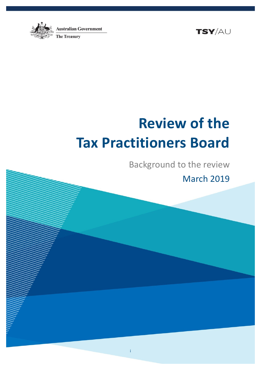

TSY/AU

# **Review of the Tax Practitioners Board**

Background to the review

March 2019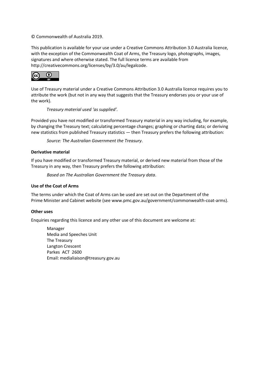© Commonwealth of Australia 2019.

This publication is available for your use under a [Creative Commons Attribution 3.0 Australia](http://creativecommons.org/licenses/by/3.0/au/deed.en) licence, with the exception of the Commonwealth Coat of Arms, the Treasury logo, photographs, images, signatures and where otherwise stated. The full licence terms are available from [http://creativecommons.org/licenses/by/3.0/au/legalcode.](http://creativecommons.org/licenses/by/3.0/au/legalcode)



Use of Treasury material under a [Creative Commons Attribution 3.0 Australia](http://creativecommons.org/licenses/by/3.0/au/deed.en) licence requires you to attribute the work (but not in any way that suggests that the Treasury endorses you or your use of the work).

*Treasury material used 'as supplied'.*

Provided you have not modified or transformed Treasury material in any way including, for example, by changing the Treasury text; calculating percentage changes; graphing or charting data; or deriving new statistics from published Treasury statistics — then Treasury prefers the following attribution:

*Source: The Australian Government the Treasury*.

#### **Derivative material**

If you have modified or transformed Treasury material, or derived new material from those of the Treasury in any way, then Treasury prefers the following attribution:

*Based on The Australian Government the Treasury data*.

#### **Use of the Coat of Arms**

The terms under which the Coat of Arms can be used are set out on the Department of the Prime Minister and Cabinet website (se[e www.pmc.gov.au/government/commonwealth-coat-arms](http://www.pmc.gov.au/government/commonwealth-coat-arm)).

#### **Other uses**

Enquiries regarding this licence and any other use of this document are welcome at:

Manager Media and Speeches Unit The Treasury Langton Crescent Parkes ACT 2600 Email: [medialiaison@treasury.gov.au](mailto:medialiaison@treasury.gov.au)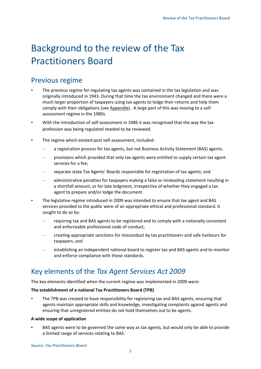## Background to the review of the Tax Practitioners Board

## Previous regime

- The previous regime for regulating tax agents was contained in the tax legislation and was originally introduced in 1943. During that time the tax environment changed and there were a much larger proportion of taxpayers using tax agents to lodge their returns and help them comply with their obligations (see Appendix). A large part of this was moving to a selfassessment regime in the 1980s.
- With the introduction of self-assessment in 1986 it was recognised that the way the tax profession was being regulated needed to be reviewed.
- The regime which existed post self-assessment, included:
	- a registration process for tax agents, but not Business Activity Statement (BAS) agents;
	- provisions which provided that only tax agents were entitled to supply certain tax agent services for a fee;
	- separate state Tax Agents' Boards responsible for registration of tax agents; and
	- administrative penalties for taxpayers making a false or misleading statement resulting in a shortfall amount, or for late lodgment, irrespective of whether they engaged a tax agent to prepare and/or lodge the document.
- The legislative regime introduced in 2009 was intended to ensure that tax agent and BAS services provided to the public were of an appropriate ethical and professional standard. It sought to do so by:
	- requiring tax and BAS agents to be registered and to comply with a nationally consistent and enforceable professional code of conduct;
	- creating appropriate sanctions for misconduct by tax practitioners and safe harbours for taxpayers; and
	- establishing an independent national board to register tax and BAS agents and to monitor and enforce compliance with those standards.

## Key elements of the *Tax Agent Services Act 2009*

The key elements identified when the current regime was implemented in 2009 were:

#### **The establishment of a national Tax Practitioners Board (TPB)**

• The TPB was created to have responsibility for registering tax and BAS agents, ensuring that agents maintain appropriate skills and knowledge, investigating complaints against agents and ensuring that unregistered entities do not hold themselves out to be agents.

#### **A wide scope of application**

BAS agents were to be governed the same way as tax agents, but would only be able to provide a limited range of services relating to BAS.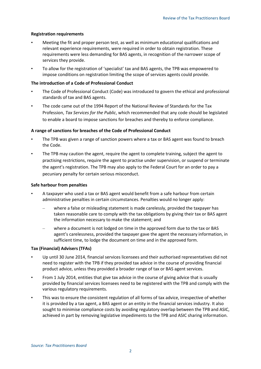#### **Registration requirements**

- Meeting the fit and proper person test, as well as minimum educational qualifications and relevant experience requirements, were required in order to obtain registration. These requirements were less demanding for BAS agents, in recognition of the narrower scope of services they provide.
- To allow for the registration of 'specialist' tax and BAS agents, the TPB was empowered to impose conditions on registration limiting the scope of services agents could provide.

#### **The introduction of a Code of Professional Conduct**

- The Code of Professional Conduct (Code) was introduced to govern the ethical and professional standards of tax and BAS agents.
- The code came out of the 1994 Report of the National Review of Standards for the Tax Profession, *Tax Services for the Public*, which recommended that any code should be legislated to enable a board to impose sanctions for breaches and thereby to enforce compliance.

#### **A range of sanctions for breaches of the Code of Professional Conduct**

- The TPB was given a range of sanction powers where a tax or BAS agent was found to breach the Code.
- The TPB may caution the agent, require the agent to complete training, subject the agent to practising restrictions, require the agent to practise under supervision, or suspend or terminate the agent's registration. The TPB may also apply to the Federal Court for an order to pay a pecuniary penalty for certain serious misconduct.

#### **Safe harbour from penalties**

- A taxpayer who used a tax or BAS agent would benefit from a safe harbour from certain administrative penalties in certain circumstances. Penalties would no longer apply:
	- where a false or misleading statement is made carelessly, provided the taxpayer has taken reasonable care to comply with the tax obligations by giving their tax or BAS agent the information necessary to make the statement; and
	- where a document is not lodged on time in the approved form due to the tax or BAS agent's carelessness, provided the taxpayer gave the agent the necessary information, in sufficient time, to lodge the document on time and in the approved form.

#### **Tax (Financial) Advisers (TFAs)**

- Up until 30 June 2014, financial services licensees and their authorised representatives did not need to register with the TPB if they provided tax advice in the course of providing financial product advice, unless they provided a broader range of tax or BAS agent services.
- From 1 July 2014, entities that give tax advice in the course of giving advice that is usually provided by financial services licensees need to be registered with the TPB and comply with the various regulatory requirements.
- This was to ensure the consistent regulation of all forms of tax advice, irrespective of whether it is provided by a tax agent, a BAS agent or an entity in the financial services industry. It also sought to minimise compliance costs by avoiding regulatory overlap between the TPB and ASIC, achieved in part by removing legislative impediments to the TPB and ASIC sharing information.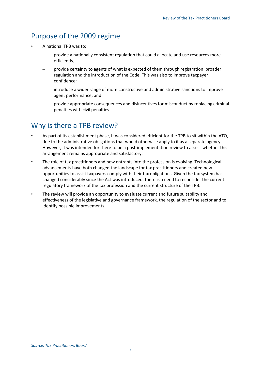### Purpose of the 2009 regime

- A national TPB was to:
	- provide a nationally consistent regulation that could allocate and use resources more efficiently;
	- provide certainty to agents of what is expected of them through registration, broader regulation and the introduction of the Code. This was also to improve taxpayer confidence;
	- introduce a wider range of more constructive and administrative sanctions to improve agent performance; and
	- provide appropriate consequences and disincentives for misconduct by replacing criminal penalties with civil penalties.

## Why is there a TPB review?

- As part of its establishment phase, it was considered efficient for the TPB to sit within the ATO, due to the administrative obligations that would otherwise apply to it as a separate agency. However, it was intended for there to be a post-implementation review to assess whether this arrangement remains appropriate and satisfactory.
- The role of tax practitioners and new entrants into the profession is evolving. Technological advancements have both changed the landscape for tax practitioners and created new opportunities to assist taxpayers comply with their tax obligations. Given the tax system has changed considerably since the Act was introduced, there is a need to reconsider the current regulatory framework of the tax profession and the current structure of the TPB.
- The review will provide an opportunity to evaluate current and future suitability and effectiveness of the legislative and governance framework, the regulation of the sector and to identify possible improvements.